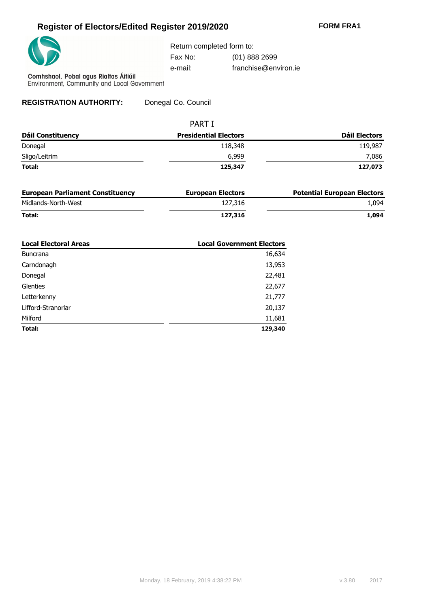## **Register of Electors/Edited Register 2019/2020 FORM FRA1**



Return completed form to:

Fax No: (01) 888 2699

e-mail: franchise@environ.ie

Comhshaol, Pobal agus Rialtas Áitiúil<br>Environment, Community and Local Government

**REGISTRATION AUTHORITY:** Donegal Co. Council

|                          | <b>PART I</b>                |               |  |  |
|--------------------------|------------------------------|---------------|--|--|
| <b>Dáil Constituency</b> | <b>Presidential Electors</b> | Dáil Electors |  |  |
| Donegal                  | 118,348                      | 119,987       |  |  |
| Sligo/Leitrim            | 6,999                        | 7,086         |  |  |
| Total:                   | 125,347                      | 127,073       |  |  |

| <b>European Parliament Constituency</b> | <b>European Electors</b> | <b>Potential European Electors</b> |
|-----------------------------------------|--------------------------|------------------------------------|
| Midlands-North-West                     | 127,316                  | L.094                              |
| Total:                                  | 127,316                  | L.094                              |

| <b>Local Electoral Areas</b> | <b>Local Government Electors</b> |
|------------------------------|----------------------------------|
| <b>Buncrana</b>              | 16,634                           |
| Carndonagh                   | 13,953                           |
| Donegal                      | 22,481                           |
| <b>Glenties</b>              | 22,677                           |
| Letterkenny                  | 21,777                           |
| Lifford-Stranorlar           | 20,137                           |
| Milford                      | 11,681                           |
| Total:                       | 129,340                          |